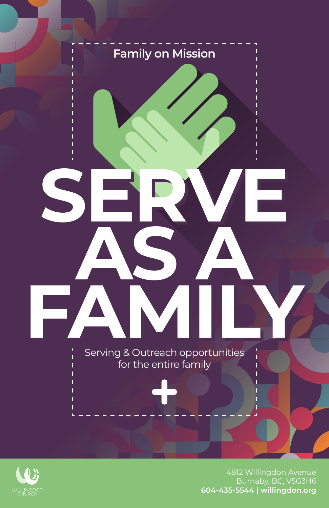



4812 Willingdon Avenue Burnaby, BC, V5G3H6 **604-435-5544 | willingdon.org**